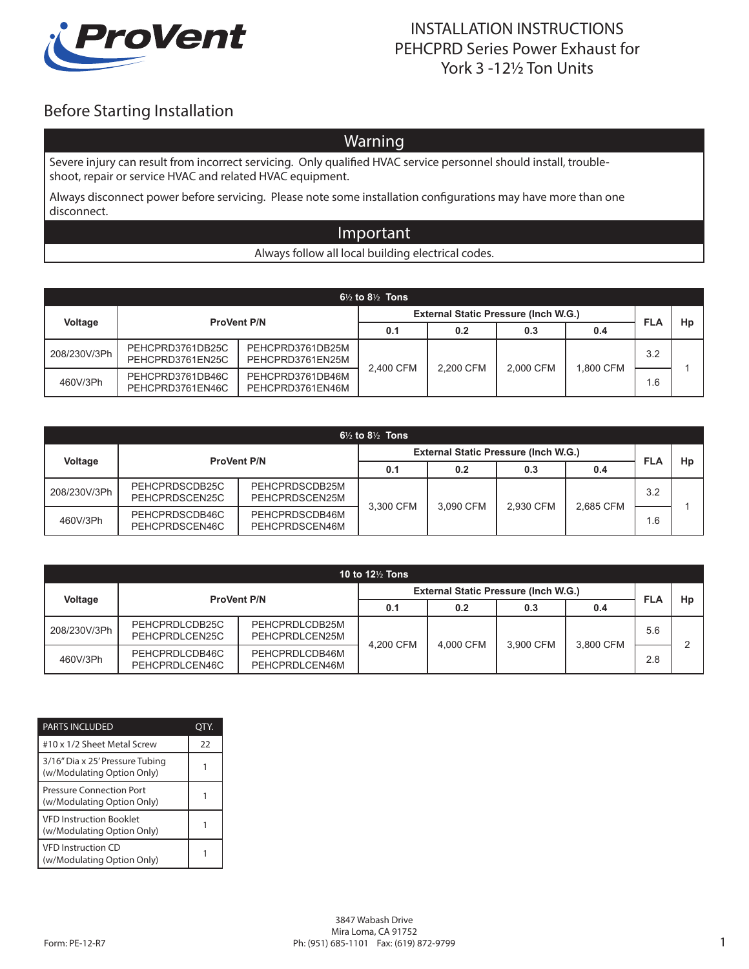

### INSTALLATION INSTRUCTIONS PEHCPRD Series Power Exhaust for York 3 -12½ Ton Units

# Before Starting Installation

## Warning

Severe injury can result from incorrect servicing. Only qualified HVAC service personnel should install, troubleshoot, repair or service HVAC and related HVAC equipment.

Always disconnect power before servicing. Please note some installation configurations may have more than one disconnect.

#### Important

Always follow all local building electrical codes.

| $6\frac{1}{2}$ to $8\frac{1}{2}$ Tons |                                      |                                      |                                             |           |           |           |                 |    |
|---------------------------------------|--------------------------------------|--------------------------------------|---------------------------------------------|-----------|-----------|-----------|-----------------|----|
|                                       | <b>ProVent P/N</b>                   |                                      | <b>External Static Pressure (Inch W.G.)</b> |           |           |           |                 | Hp |
| Voltage                               |                                      |                                      | 0.1                                         | 0.2       | 0.3       | 0.4       | <b>FLA</b>      |    |
| 208/230V/3Ph                          | PEHCPRD3761DB25C<br>PEHCPRD3761EN25C | PEHCPRD3761DB25M<br>PEHCPRD3761EN25M | 2.400 CFM                                   | 2.200 CFM |           | 1.800 CFM | 3.2             |    |
| 460V/3Ph                              | PEHCPRD3761DB46C<br>PEHCPRD3761EN46C | PEHCPRD3761DB46M<br>PEHCPRD3761EN46M |                                             |           | 2.000 CFM |           | .6 <sub>1</sub> |    |

| $6\frac{1}{2}$ to $8\frac{1}{2}$ Tons |                                  |                                  |                                             |           |           |           |            |    |
|---------------------------------------|----------------------------------|----------------------------------|---------------------------------------------|-----------|-----------|-----------|------------|----|
|                                       | <b>ProVent P/N</b>               |                                  | <b>External Static Pressure (Inch W.G.)</b> |           |           |           |            | Hp |
| Voltage                               |                                  |                                  | 0.1                                         | 0.2       | 0.3       | 0.4       | <b>FLA</b> |    |
| 208/230V/3Ph                          | PEHCPRDSCDB25C<br>PEHCPRDSCEN25C | PEHCPRDSCDB25M<br>PEHCPRDSCEN25M |                                             |           | 2.930 CFM | 2.685 CFM | 3.2        |    |
| 460V/3Ph                              | PEHCPRDSCDB46C<br>PEHCPRDSCEN46C | PEHCPRDSCDB46M<br>PEHCPRDSCEN46M | 3.300 CFM                                   | 3.090 CFM |           |           | 1.6        |    |

| 10 to 12 $\frac{1}{2}$ Tons |                                  |                                  |                                             |           |           |           |            |    |
|-----------------------------|----------------------------------|----------------------------------|---------------------------------------------|-----------|-----------|-----------|------------|----|
| Voltage                     | <b>ProVent P/N</b>               |                                  | <b>External Static Pressure (Inch W.G.)</b> |           |           |           | <b>FLA</b> | Hp |
|                             |                                  |                                  | 0.1                                         | 0.2       | 0.3       | 0.4       |            |    |
| 208/230V/3Ph                | PEHCPRDLCDB25C<br>PEHCPRDLCEN25C | PEHCPRDLCDB25M<br>PEHCPRDLCEN25M |                                             |           |           |           | 5.6        |    |
| 460V/3Ph                    | PEHCPRDLCDB46C<br>PEHCPRDLCEN46C | PEHCPRDLCDB46M<br>PEHCPRDLCEN46M | 4.200 CFM                                   | 4.000 CFM | 3,900 CFM | 3.800 CFM | 2.8        |    |

| <b>PARTS INCLUDED</b>                                         | IY. |
|---------------------------------------------------------------|-----|
| #10 x 1/2 Sheet Metal Screw                                   | 22  |
| 3/16" Dia x 25' Pressure Tubing<br>(w/Modulating Option Only) |     |
| Pressure Connection Port<br>(w/Modulating Option Only)        |     |
| <b>VED Instruction Booklet</b><br>(w/Modulating Option Only)  |     |
| <b>VFD Instruction CD</b><br>(w/Modulating Option Only)       |     |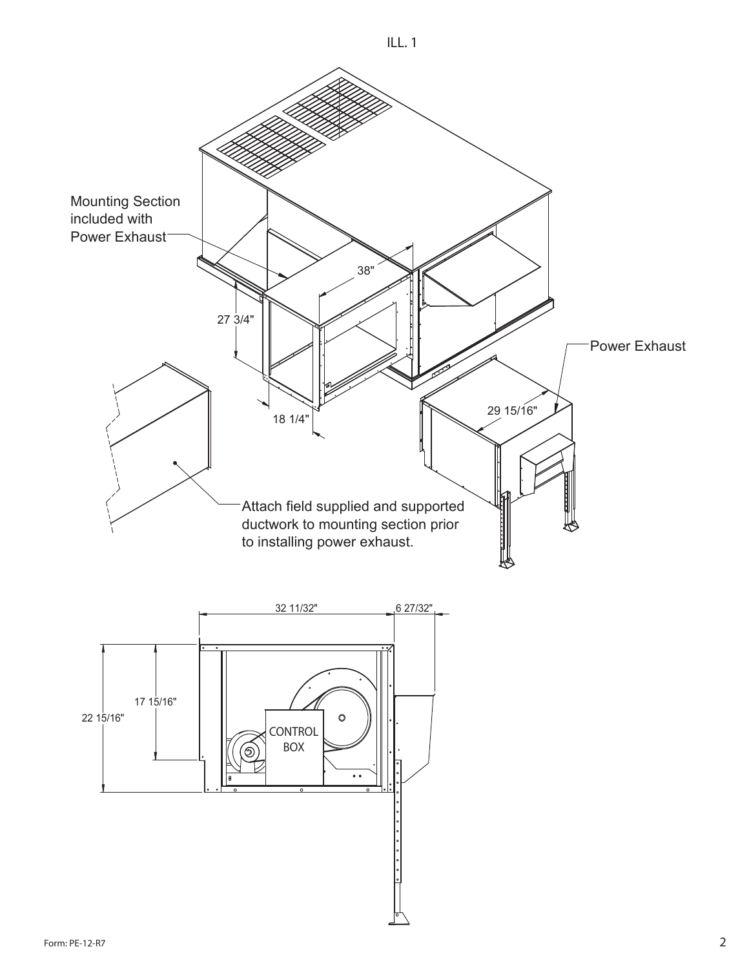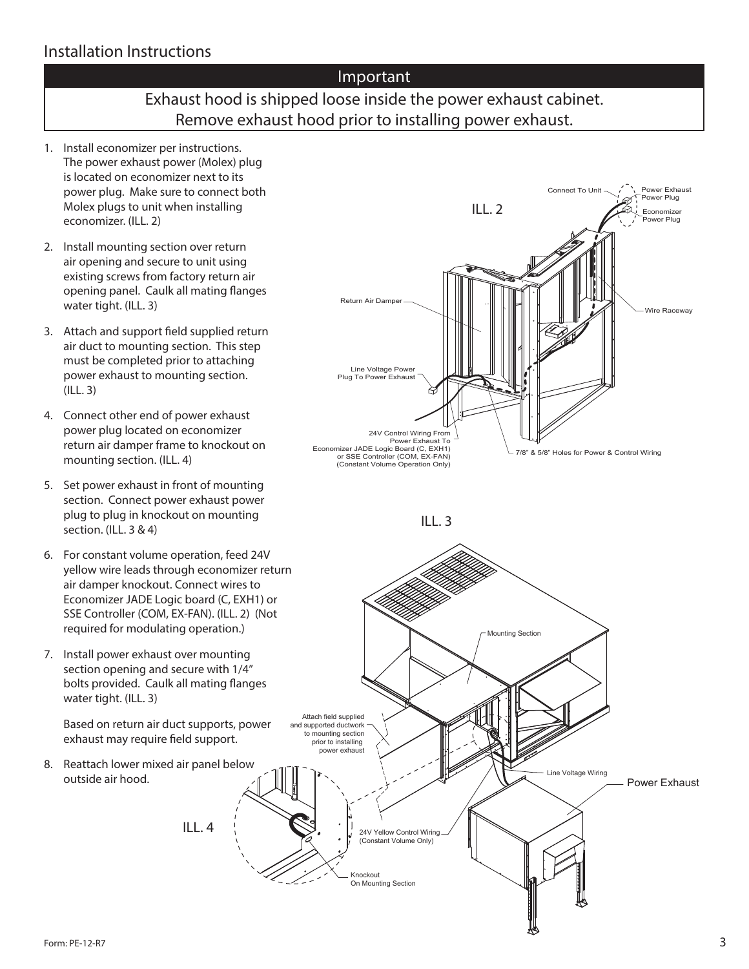### Installation Instructions

#### Important

## Exhaust hood is shipped loose inside the power exhaust cabinet. Remove exhaust hood prior to installing power exhaust.

Knockout On Mounting Section

24V Yellow Control Wiring (Constant Volume Only)

- 1. Install economizer per instructions. The power exhaust power (Molex) plug is located on economizer next to its power plug. Make sure to connect both Molex plugs to unit when installing economizer. (ILL. 2)
- 2. Install mounting section over return air opening and secure to unit using existing screws from factory return air opening panel. Caulk all mating flanges water tight. (ILL. 3)
- 3. Attach and support field supplied return air duct to mounting section. This step must be completed prior to attaching power exhaust to mounting section. (ILL. 3)
- 4. Connect other end of power exhaust power plug located on economizer return air damper frame to knockout on mounting section. (ILL. 4)
- 5. Set power exhaust in front of mounting section. Connect power exhaust power plug to plug in knockout on mounting section. (ILL. 3 & 4)
- 6. For constant volume operation, feed 24V yellow wire leads through economizer return air damper knockout. Connect wires to Economizer JADE Logic board (C, EXH1) or SSE Controller (COM, EX-FAN). (ILL. 2) (Not required for modulating operation.)
- 7. Install power exhaust over mounting section opening and secure with 1/4" bolts provided. Caulk all mating flanges water tight. (ILL. 3)

Based on return air duct supports, power exhaust may require field support.

 $II.4$ 

8. Reattach lower mixed air panel below outside air hood.

Connect To Unit Power Exhaust Ø Power Plug ILL. 2 Economizer Power Plug Return Air Damper Wire Raceway Line Voltage Power Plug To Power Exhaust 24V Control Wiring From Power Exhaust To Economizer JADE Logic Board (C, EXH1) 7/8" & 5/8" Holes for Power & Control Wiring or SSE Controller (COM, EX-FAN) (Constant Volume Operation Only) ILL. 3 Mounting Section Attach field supplied and supported ductwork to mounting section prior to installing power exhaust Line Voltage Wiring Power Exhaust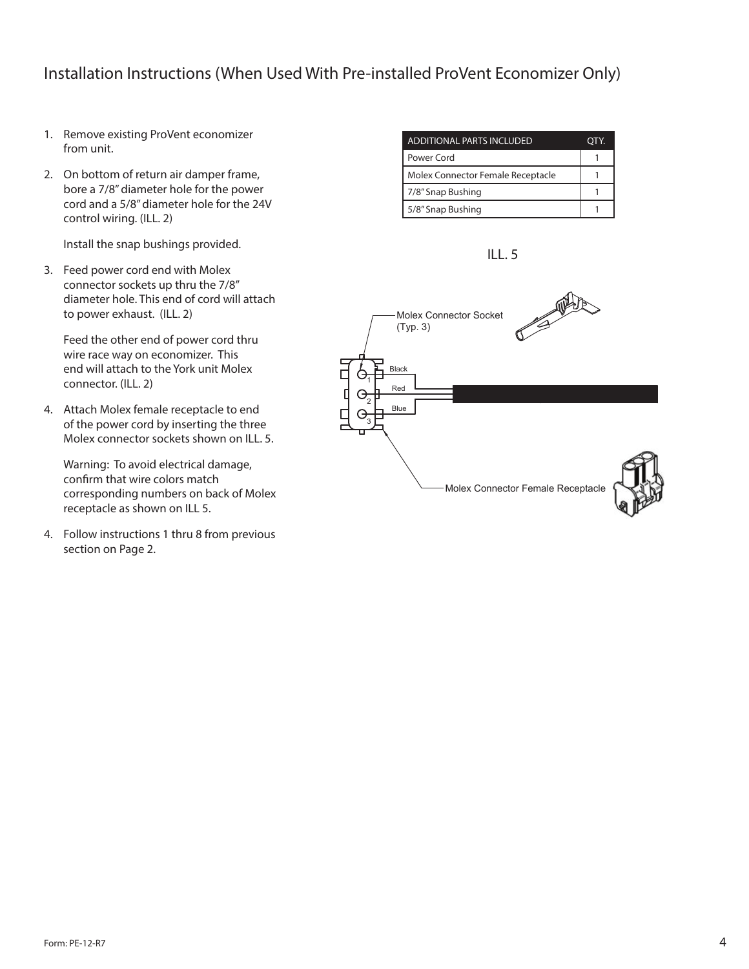### Installation Instructions (When Used With Pre-installed ProVent Economizer Only)

- 1. Remove existing ProVent economizer from unit.
- 2. On bottom of return air damper frame, bore a 7/8" diameter hole for the power cord and a 5/8" diameter hole for the 24V control wiring. (ILL. 2)

Install the snap bushings provided.

3. Feed power cord end with Molex connector sockets up thru the 7/8" diameter hole. This end of cord will attach to power exhaust. (ILL. 2)

Feed the other end of power cord thru wire race way on economizer. This end will attach to the York unit Molex connector. (ILL. 2)

4. Attach Molex female receptacle to end of the power cord by inserting the three Molex connector sockets shown on ILL. 5.

Warning: To avoid electrical damage, confirm that wire colors match corresponding numbers on back of Molex receptacle as shown on ILL 5.

4. Follow instructions 1 thru 8 from previous section on Page 2.

| ADDITIONAL PARTS INCLUDED         |  |
|-----------------------------------|--|
| Power Cord                        |  |
| Molex Connector Female Receptacle |  |
| 7/8" Snap Bushing                 |  |
| 5/8" Snap Bushing                 |  |



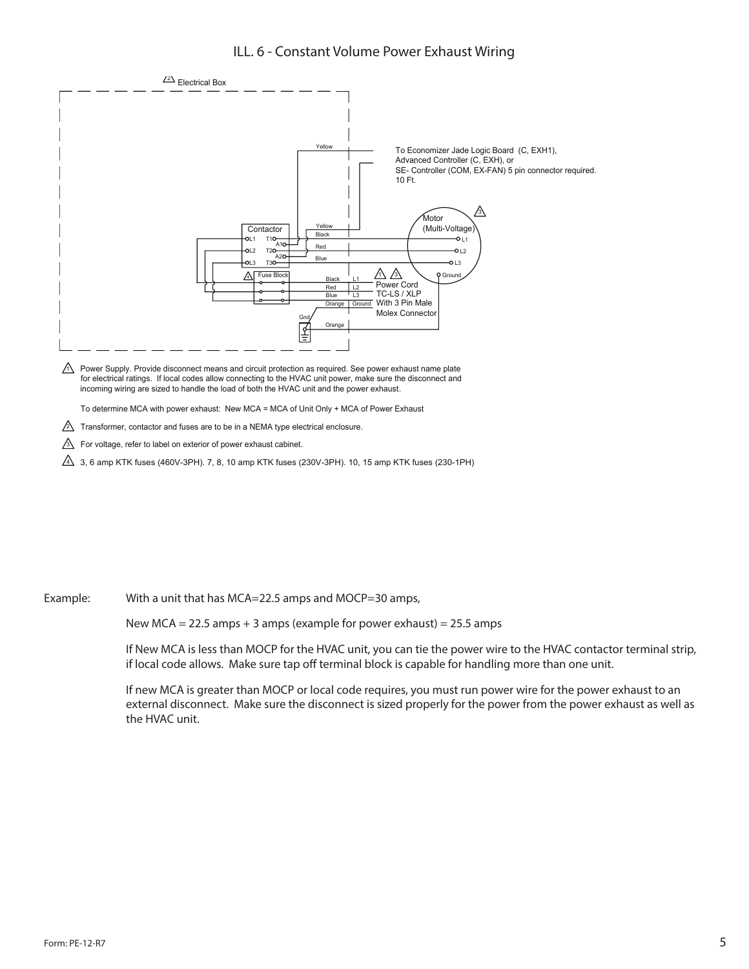#### ILL. 6 - Constant Volume Power Exhaust Wiring



To determine MCA with power exhaust: New MCA = MCA of Unit Only + MCA of Power Exhaust

 $\triangle$  Transformer, contactor and fuses are to be in a NEMA type electrical enclosure.

 $\sqrt{3}$  For voltage, refer to label on exterior of power exhaust cabinet.

 $\overline{4}$  3, 6 amp KTK fuses (460V-3PH). 7, 8, 10 amp KTK fuses (230V-3PH). 10, 15 amp KTK fuses (230-1PH)

Example: With a unit that has MCA=22.5 amps and MOCP=30 amps,

New MCA = 22.5 amps + 3 amps (example for power exhaust) =  $25.5$  amps

If New MCA is less than MOCP for the HVAC unit, you can tie the power wire to the HVAC contactor terminal strip, if local code allows. Make sure tap off terminal block is capable for handling more than one unit.

If new MCA is greater than MOCP or local code requires, you must run power wire for the power exhaust to an external disconnect. Make sure the disconnect is sized properly for the power from the power exhaust as well as the HVAC unit.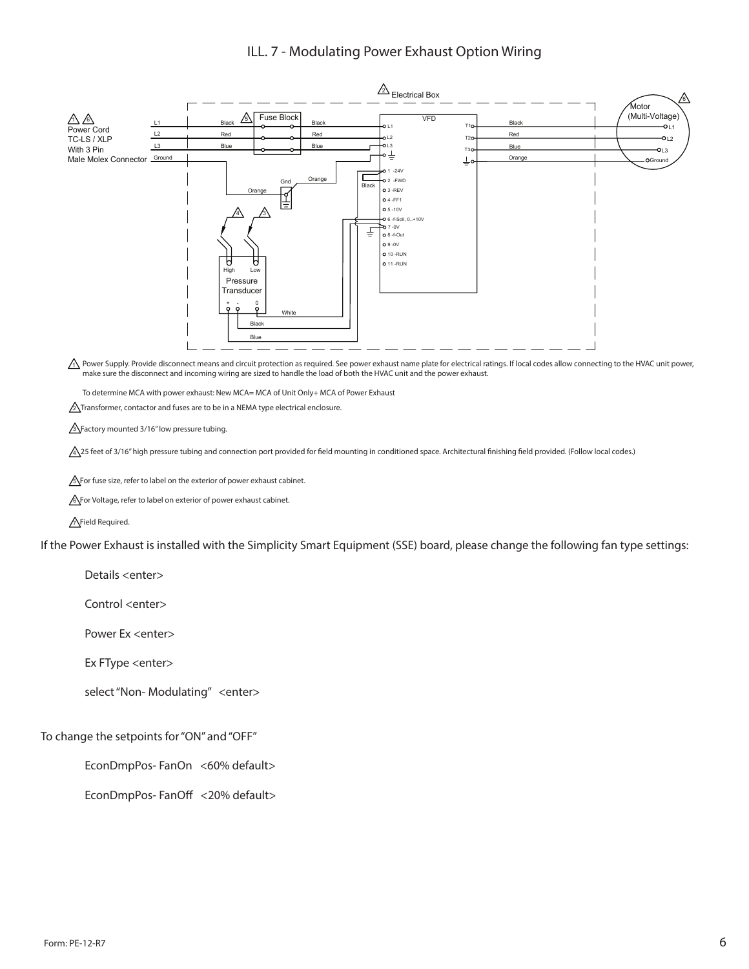#### ILL. 7 - Modulating Power Exhaust Option Wiring



 $\triangle$  Power Supply. Provide disconnect means and circuit protection as required. See power exhaust name plate for electrical ratings. If local codes allow connecting to the HVAC unit power, make sure the disconnect and incoming wiring are sized to handle the load of both the HVAC unit and the power exhaust.

To determine MCA with power exhaust: New MCA= MCA of Unit Only+ MCA of Power Exhaust

 $\sqrt{2}$ Transformer, contactor and fuses are to be in a NEMA type electrical enclosure.

 $\sqrt{3}$  Factory mounted 3/16" low pressure tubing.

A 25 feet of 3/16" high pressure tubing and connection port provided for field mounting in conditioned space. Architectural finishing field provided. (Follow local codes.)

**S** For fuse size, refer to label on the exterior of power exhaust cabinet.

**6** For Voltage, refer to label on exterior of power exhaust cabinet.

AField Required.

If the Power Exhaust is installed with the Simplicity Smart Equipment (SSE) board, please change the following fan type settings:

Details <enter>

Control <enter>

Power Ex <enter>

Ex FType <enter>

select "Non- Modulating" <enter>

To change the setpoints for "ON" and "OFF"

EconDmpPos-FanOn <60% default>

EconDmpPos-FanOff <20% default>